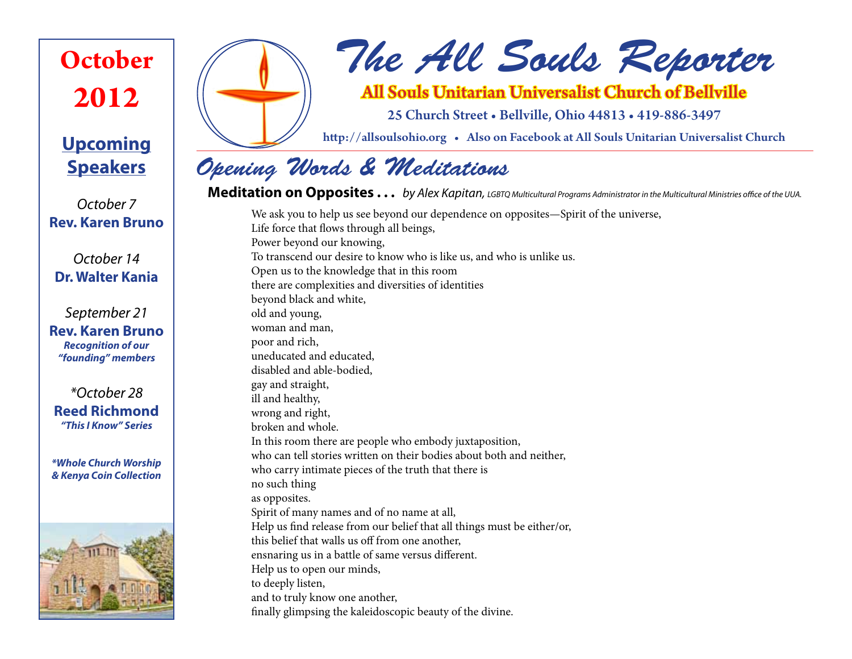# **October 2012**

# **Upcoming Speakers**

*October 7* **Rev. Karen Bruno**

*October 14* **Dr. Walter Kania**

*September 21* **Rev. Karen Bruno** *Recognition of our "founding" members*

*\*October 28* **Reed Richmond** *"This I Know" Series*

*\*Whole Church Worship & Kenya Coin Collection*





# *The All Souls Reporter*

## All Souls Unitarian Universalist Church of Bellville

25 Church Street • Bellville, Ohio 44813 • 419-886-3497

http://allsoulsohio.org • Also on Facebook at All Souls Unitarian Universalist Church

# *Opening Words & Meditations*

## **Meditation on Opposites . . .** *by Alex Kapitan, LGBTQ Multicultural Programs Administrator in the Multicultural Ministries office of the UUA.* We ask you to help us see beyond our dependence on opposites—Spirit of the universe,

Life force that flows through all beings, Power beyond our knowing, To transcend our desire to know who is like us, and who is unlike us. Open us to the knowledge that in this room there are complexities and diversities of identities beyond black and white, old and young, woman and man, poor and rich, uneducated and educated, disabled and able-bodied, gay and straight, ill and healthy, wrong and right, broken and whole. In this room there are people who embody juxtaposition, who can tell stories written on their bodies about both and neither, who carry intimate pieces of the truth that there is no such thing as opposites. Spirit of many names and of no name at all, Help us find release from our belief that all things must be either/or, this belief that walls us off from one another, ensnaring us in a battle of same versus different. Help us to open our minds, to deeply listen, and to truly know one another, finally glimpsing the kaleidoscopic beauty of the divine.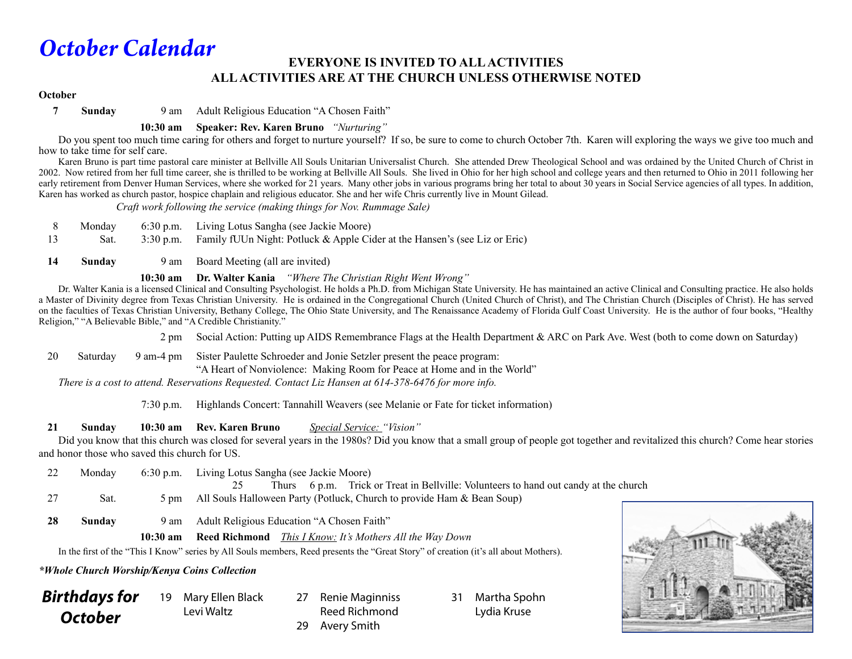# *October Calendar*

### **EVERYONE IS INVITED TO ALL ACTIVITIES ALL ACTIVITIES ARE AT THE CHURCH UNLESS OTHERWISE NOTED**

#### **October**

**7 Sunday** 9 am Adult Religious Education "A Chosen Faith"

#### **10:30 am Speaker: Rev. Karen Bruno** *"Nurturing"*

Do you spent too much time caring for others and forget to nurture yourself? If so, be sure to come to church October 7th. Karen will exploring the ways we give too much and how to take time for self care.

 Karen Bruno is part time pastoral care minister at Bellville All Souls Unitarian Universalist Church. She attended Drew Theological School and was ordained by the United Church of Christ in 2002. Now retired from her full time career, she is thrilled to be working at Bellville All Souls. She lived in Ohio for her high school and college years and then returned to Ohio in 2011 following her early retirement from Denver Human Services, where she worked for 21 years. Many other jobs in various programs bring her total to about 30 years in Social Service agencies of all types. In addition, Karen has worked as church pastor, hospice chaplain and religious educator. She and her wife Chris currently live in Mount Gilead.

 *Craft work following the service (making things for Nov. Rummage Sale)*

|     |      | Monday 6:30 p.m. Living Lotus Sangha (see Jackie Moore)                              |
|-----|------|--------------------------------------------------------------------------------------|
| -13 | Sat. | 3:30 p.m. Family fUUn Night: Potluck & Apple Cider at the Hansen's (see Liz or Eric) |

14 **Sunday** 9 am Board Meeting (all are invited)

 **10:30 am Dr. Walter Kania** *"Where The Christian Right Went Wrong"*

 Dr. Walter Kania is a licensed Clinical and Consulting Psychologist. He holds a Ph.D. from Michigan State University. He has maintained an active Clinical and Consulting practice. He also holds a Master of Divinity degree from Texas Christian University. He is ordained in the Congregational Church (United Church of Christ), and The Christian Church (Disciples of Christ). He has served on the faculties of Texas Christian University, Bethany College, The Ohio State University, and The Renaissance Academy of Florida Gulf Coast University. He is the author of four books, "Healthy Religion," "A Believable Bible," and "A Credible Christianity."

2 pm Social Action: Putting up AIDS Remembrance Flags at the Health Department & ARC on Park Ave. West (both to come down on Saturday)

20 Saturday 9 am-4 pm Sister Paulette Schroeder and Jonie Setzler present the peace program: "A Heart of Nonviolence: Making Room for Peace at Home and in the World"

 *There is a cost to attend. Reservations Requested. Contact Liz Hansen at 614-378-6476 for more info.*

7:30 p.m. Highlands Concert: Tannahill Weavers (see Melanie or Fate for ticket information)

#### **21 Sunday 10:30 am Rev. Karen Bruno** *Special Service: "Vision"*

Did you know that this church was closed for several years in the 1980s? Did you know that a small group of people got together and revitalized this church? Come hear stories and honor those who saved this church for US.

| 22           | Monday | 6:30 p.m. Living Lotus Sangha (see Jackie Moore)                                     |  |  |
|--------------|--------|--------------------------------------------------------------------------------------|--|--|
|              |        | Thurs 6 p.m. Trick or Treat in Bellville: Volunteers to hand out candy at the church |  |  |
| -27          | Sat.   | 5 pm All Souls Halloween Party (Potluck, Church to provide Ham & Bean Soup)          |  |  |
|              |        |                                                                                      |  |  |
| $\mathbf{A}$ |        |                                                                                      |  |  |

Reed Richmond

**28 Sunday** 9 am Adult Religious Education "A Chosen Faith"

 **10:30 am Reed Richmond** *This I Know: It's Mothers All the Way Down*

 In the first of the "This I Know" series by All Souls members, Reed presents the "Great Story" of creation (it's all about Mothers).

#### *\*Whole Church Worship/Kenya Coins Collection*

| <b>Birthdays for</b> |  |
|----------------------|--|
| <b>October</b>       |  |

- 19 Mary Ellen Black Levi Waltz 27 Renie Maginniss 29 Avery Smith
- 31 Martha Spohn Lydia Kruse

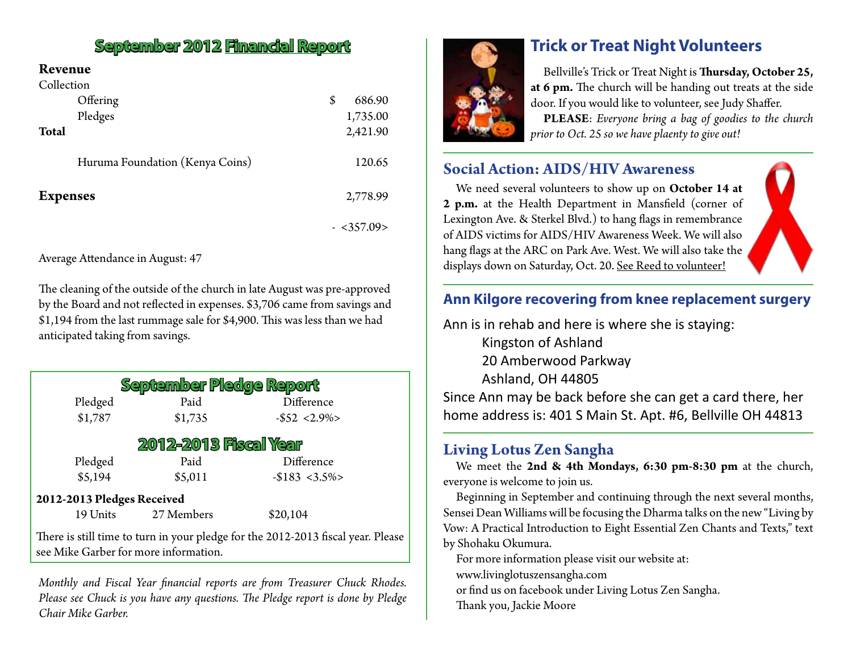## **September 2012 Financial Report**

### **Revenue**

| Collection                      |              |
|---------------------------------|--------------|
| Offering                        | \$<br>686.90 |
| Pledges                         | 1,735.00     |
| <b>Total</b>                    | 2,421.90     |
|                                 |              |
| Huruma Foundation (Kenya Coins) | 120.65       |
|                                 |              |
| <b>Expenses</b>                 | 2,778.99     |
|                                 |              |
|                                 | - <357.09>   |

Average Attendance in August: 47

The cleaning of the outside of the church in late August was pre-approved by the Board and not reflected in expenses. \$3,706 came from savings and \$1,194 from the last rummage sale for \$4,900. This was less than we had anticipated taking from savings.

| <b>September Pledge Report</b>                                                                                            |            |                   |  |  |  |  |  |
|---------------------------------------------------------------------------------------------------------------------------|------------|-------------------|--|--|--|--|--|
| Pledged                                                                                                                   | Paid       | Difference        |  |  |  |  |  |
| \$1,787                                                                                                                   | \$1,735    | $-$ \$52 < 2.9% > |  |  |  |  |  |
| <b>2012-2013 Fiscal Year</b>                                                                                              |            |                   |  |  |  |  |  |
| Pledged                                                                                                                   | Paid       | Difference        |  |  |  |  |  |
| \$5,194                                                                                                                   | \$5,011    | $-$183 < 3.5\%$   |  |  |  |  |  |
| 2012-2013 Pledges Received                                                                                                |            |                   |  |  |  |  |  |
| 19 Units                                                                                                                  | 27 Members | \$20,104          |  |  |  |  |  |
| There is still time to turn in your pledge for the 2012-2013 fiscal year. Please<br>see Mike Garber for more information. |            |                   |  |  |  |  |  |

*Monthly and Fiscal Year financial reports are from Treasurer Chuck Rhodes. Please see Chuck is you have any questions. The Pledge report is done by Pledge Chair Mike Garber.*



## **Trick or Treat Night Volunteers**

Bellville's Trick or Treat Night is **Thursday, October 25, at 6 pm.** The church will be handing out treats at the side door. If you would like to volunteer, see Judy Shaffer.

**PLEASE**: *Everyone bring a bag of goodies to the church prior to Oct. 25 so we have plaenty to give out!*

### **Social Action: AIDS/HIV Awareness**

We need several volunteers to show up on **October 14 at 2 p.m.** at the Health Department in Mansfield (corner of Lexington Ave. & Sterkel Blvd.) to hang flags in remembrance of AIDS victims for AIDS/HIV Awareness Week. We will also hang flags at the ARC on Park Ave. West. We will also take the displays down on Saturday, Oct. 20. See Reed to volunteer!

### **Ann Kilgore recovering from knee replacement surgery**

Ann is in rehab and here is where she is staying:

Kingston of Ashland 20 Amberwood Parkway Ashland, OH 44805

Since Ann may be back before she can get a card there, her home address is: 401 S Main St. Apt. #6, Bellville OH 44813

### **Living Lotus Zen Sangha**

We meet the **2nd & 4th Mondays, 6:30 pm-8:30 pm** at the church, everyone is welcome to join us.

Beginning in September and continuing through the next several months, Sensei Dean Williams will be focusing the Dharma talks on the new "Living by Vow: A Practical Introduction to Eight Essential Zen Chants and Texts," text by Shohaku Okumura.

For more information please visit our website at:

www.livinglotuszensangha.com

or find us on facebook under Living Lotus Zen Sangha.

Thank you, Jackie Moore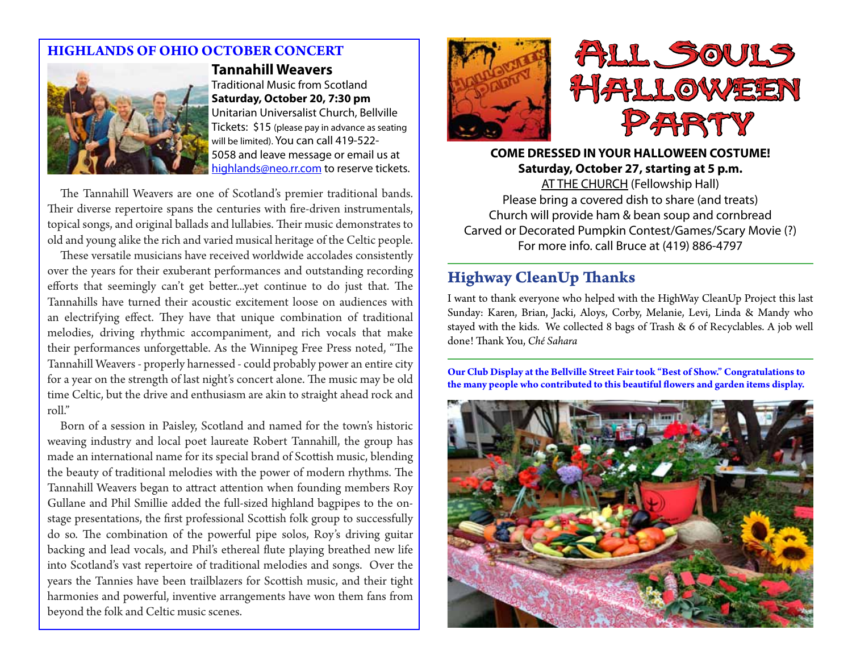### **HIGHLANDS OF OHIO OCTOBER CONCERT**



**Tannahill Weavers** Traditional Music from Scotland **Saturday, October 20, 7:30 pm** Unitarian Universalist Church, Bellville Tickets: \$15 (please pay in advance as seating will be limited). You can call 419-522- 5058 and leave message or email us at highlands@neo.rr.com to reserve tickets.

The Tannahill Weavers are one of Scotland's premier traditional bands. Their diverse repertoire spans the centuries with fire-driven instrumentals, topical songs, and original ballads and lullabies. Their music demonstrates to old and young alike the rich and varied musical heritage of the Celtic people.

These versatile musicians have received worldwide accolades consistently over the years for their exuberant performances and outstanding recording efforts that seemingly can't get better...yet continue to do just that. The Tannahills have turned their acoustic excitement loose on audiences with an electrifying effect. They have that unique combination of traditional melodies, driving rhythmic accompaniment, and rich vocals that make their performances unforgettable. As the Winnipeg Free Press noted, "The Tannahill Weavers - properly harnessed - could probably power an entire city for a year on the strength of last night's concert alone. The music may be old time Celtic, but the drive and enthusiasm are akin to straight ahead rock and roll."

Born of a session in Paisley, Scotland and named for the town's historic weaving industry and local poet laureate Robert Tannahill, the group has made an international name for its special brand of Scottish music, blending the beauty of traditional melodies with the power of modern rhythms. The Tannahill Weavers began to attract attention when founding members Roy Gullane and Phil Smillie added the full-sized highland bagpipes to the onstage presentations, the first professional Scottish folk group to successfully do so. The combination of the powerful pipe solos, Roy's driving guitar backing and lead vocals, and Phil's ethereal flute playing breathed new life into Scotland's vast repertoire of traditional melodies and songs. Over the years the Tannies have been trailblazers for Scottish music, and their tight harmonies and powerful, inventive arrangements have won them fans from beyond the folk and Celtic music scenes.





**COME DRESSED IN YOUR HALLOWEEN COSTUME! Saturday, October 27, starting at 5 p.m.** AT THE CHURCH (Fellowship Hall) Please bring a covered dish to share (and treats) Church will provide ham & bean soup and cornbread Carved or Decorated Pumpkin Contest/Games/Scary Movie (?) For more info. call Bruce at (419) 886-4797

### **Highway CleanUp Thanks**

I want to thank everyone who helped with the HighWay CleanUp Project this last Sunday: Karen, Brian, Jacki, Aloys, Corby, Melanie, Levi, Linda & Mandy who stayed with the kids. We collected 8 bags of Trash & 6 of Recyclables. A job well done! Thank You, *Ché Sahara*

**Our Club Display at the Bellville Street Fair took "Best of Show." Congratulations to the many people who contributed to this beautiful flowers and garden items display.**

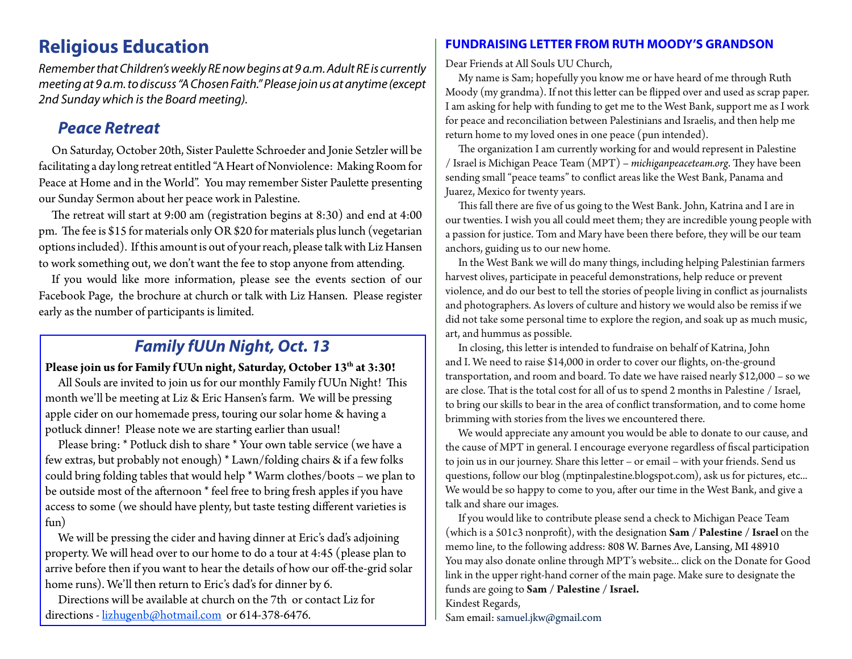## **Religious Education**

*Remember that Children's weekly RE now begins at 9 a.m. Adult RE is currently meeting at 9 a.m. to discuss "A Chosen Faith." Please join us at anytime (except 2nd Sunday which is the Board meeting).*

### *Peace Retreat*

On Saturday, October 20th, Sister Paulette Schroeder and Jonie Setzler will be facilitating a day long retreat entitled "A Heart of Nonviolence: Making Room for Peace at Home and in the World". You may remember Sister Paulette presenting our Sunday Sermon about her peace work in Palestine.

The retreat will start at 9:00 am (registration begins at 8:30) and end at 4:00 pm. The fee is \$15 for materials only OR \$20 for materials plus lunch (vegetarian options included). If this amount is out of your reach, please talk with Liz Hansen to work something out, we don't want the fee to stop anyone from attending.

If you would like more information, please see the events section of our Facebook Page, the brochure at church or talk with Liz Hansen. Please register early as the number of participants is limited.

## *Family fUUn Night, Oct. 13*

### Please join us for Family f UUn night, Saturday, October 13<sup>th</sup> at 3:30!

All Souls are invited to join us for our monthly Family f UUn Night! This month we'll be meeting at Liz & Eric Hansen's farm. We will be pressing apple cider on our homemade press, touring our solar home & having a potluck dinner! Please note we are starting earlier than usual!

Please bring: \* Potluck dish to share \* Your own table service (we have a few extras, but probably not enough) \* Lawn/folding chairs & if a few folks could bring folding tables that would help \* Warm clothes/boots – we plan to be outside most of the afternoon \* feel free to bring fresh apples if you have access to some (we should have plenty, but taste testing different varieties is fun)

We will be pressing the cider and having dinner at Eric's dad's adjoining property. We will head over to our home to do a tour at 4:45 (please plan to arrive before then if you want to hear the details of how our off-the-grid solar home runs). We'll then return to Eric's dad's for dinner by 6.

Directions will be available at church on the 7th or contact Liz for directions - lizhugenb@hotmail.com or 614-378-6476.

### **FUNDRAISING LETTER FROM RUTH MOODY'S GRANDSON**

Dear Friends at All Souls UU Church,

My name is Sam; hopefully you know me or have heard of me through Ruth Moody (my grandma). If not this letter can be flipped over and used as scrap paper. I am asking for help with funding to get me to the West Bank, support me as I work for peace and reconciliation between Palestinians and Israelis, and then help me return home to my loved ones in one peace (pun intended).

The organization I am currently working for and would represent in Palestine / Israel is Michigan Peace Team (MPT) – *michiganpeaceteam.org*. They have been sending small "peace teams" to conflict areas like the West Bank, Panama and Juarez, Mexico for twenty years.

This fall there are five of us going to the West Bank. John, Katrina and I are in our twenties. I wish you all could meet them; they are incredible young people with a passion for justice. Tom and Mary have been there before, they will be our team anchors, guiding us to our new home.

In the West Bank we will do many things, including helping Palestinian farmers harvest olives, participate in peaceful demonstrations, help reduce or prevent violence, and do our best to tell the stories of people living in conflict as journalists and photographers. As lovers of culture and history we would also be remiss if we did not take some personal time to explore the region, and soak up as much music, art, and hummus as possible.

In closing, this letter is intended to fundraise on behalf of Katrina, John and I. We need to raise \$14,000 in order to cover our flights, on-the-ground transportation, and room and board. To date we have raised nearly \$12,000 – so we are close. That is the total cost for all of us to spend 2 months in Palestine / Israel, to bring our skills to bear in the area of conflict transformation, and to come home brimming with stories from the lives we encountered there.

We would appreciate any amount you would be able to donate to our cause, and the cause of MPT in general. I encourage everyone regardless of fiscal participation to join us in our journey. Share this letter – or email – with your friends. Send us questions, follow our blog (mptinpalestine.blogspot.com), ask us for pictures, etc... We would be so happy to come to you, after our time in the West Bank, and give a talk and share our images.

If you would like to contribute please send a check to Michigan Peace Team (which is a 501c3 nonprofit), with the designation **Sam / Palestine / Israel** on the memo line, to the following address: 808 W. Barnes Ave, Lansing, MI 48910 You may also donate online through MPT's website... click on the Donate for Good link in the upper right-hand corner of the main page. Make sure to designate the funds are going to **Sam / Palestine / Israel.** Kindest Regards,

Sam email: samuel.jkw@gmail.com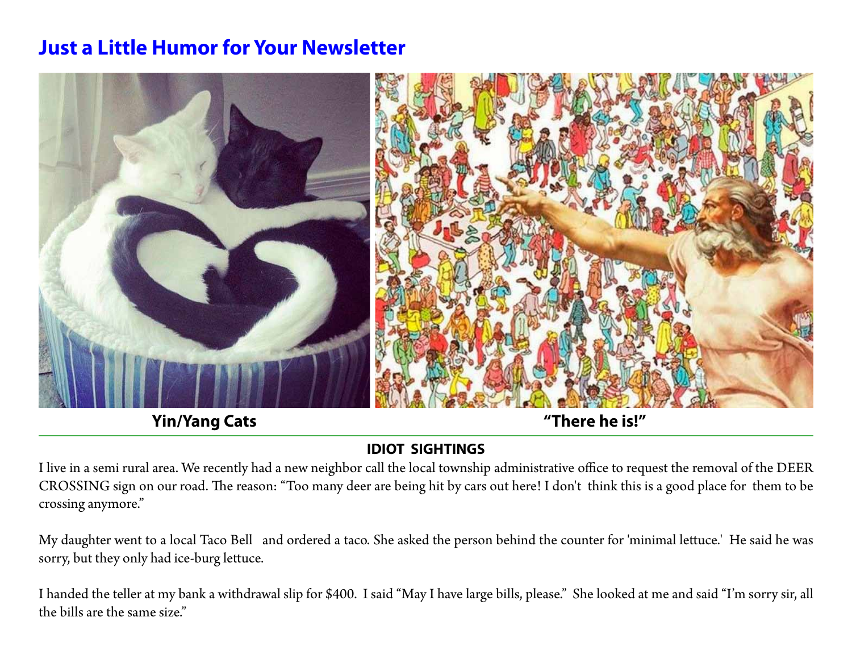# **Just a Little Humor for Your Newsletter**



**Yin/Yang Cats "There he is!"**

## **IDIOT SIGHTINGS**

I live in a semi rural area. We recently had a new neighbor call the local township administrative office to request the removal of the DEER CROSSING sign on our road. The reason: "Too many deer are being hit by cars out here! I don't think this is a good place for them to be crossing anymore."

My daughter went to a local Taco Bell and ordered a taco. She asked the person behind the counter for 'minimal lettuce.' He said he was sorry, but they only had ice-burg lettuce.

I handed the teller at my bank a withdrawal slip for \$400. I said "May I have large bills, please." She looked at me and said "I'm sorry sir, all the bills are the same size."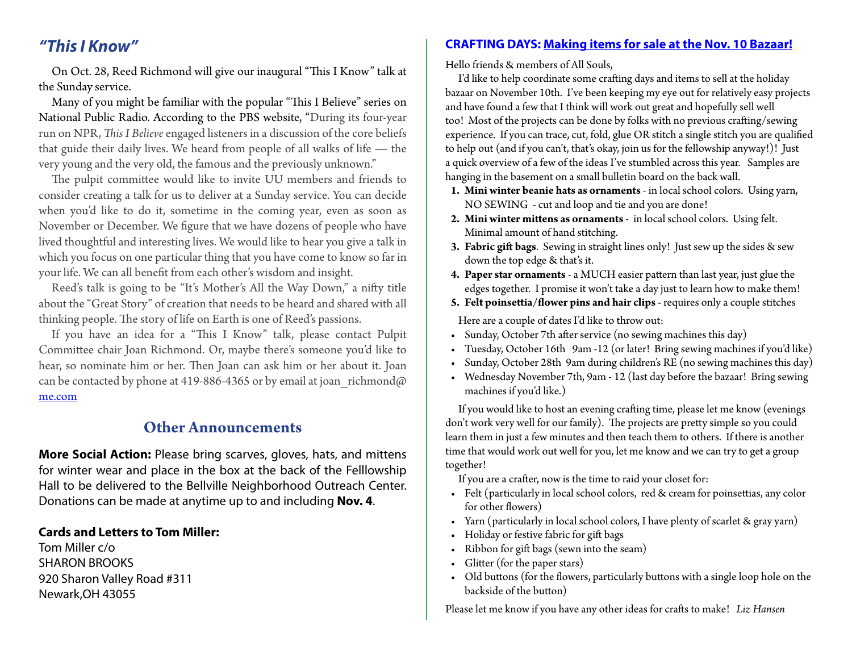On Oct. 28, Reed Richmond will give our inaugural "This I Know" talk at the Sunday service.

Many of you might be familiar with the popular "This I Believe" series on National Public Radio. According to the PBS website, "During its four-year run on NPR, *This I Believe* engaged listeners in a discussion of the core beliefs that guide their daily lives. We heard from people of all walks of life — the very young and the very old, the famous and the previously unknown."

The pulpit committee would like to invite UU members and friends to consider creating a talk for us to deliver at a Sunday service. You can decide when you'd like to do it, sometime in the coming year, even as soon as November or December. We figure that we have dozens of people who have lived thoughtful and interesting lives. We would like to hear you give a talk in which you focus on one particular thing that you have come to know so far in your life. We can all benefit from each other's wisdom and insight.

Reed's talk is going to be "It's Mother's All the Way Down," a nifty title about the "Great Story" of creation that needs to be heard and shared with all thinking people. The story of life on Earth is one of Reed's passions.

If you have an idea for a "This I Know" talk, please contact Pulpit Committee chair Joan Richmond. Or, maybe there's someone you'd like to hear, so nominate him or her. Then Joan can ask him or her about it. Joan can be contacted by phone at 419-886-4365 or by email at joan richmond@ me.com

### **Other Announcements**

**More Social Action:** Please bring scarves, gloves, hats, and mittens for winter wear and place in the box at the back of the Felllowship Hall to be delivered to the Bellville Neighborhood Outreach Center. Donations can be made at anytime up to and including **Nov. 4**.

#### **Cards and Letters to Tom Miller:**

Tom Miller c/o SHARON BROOKS 920 Sharon Valley Road #311 Newark,OH 43055

### *"This I Know"* **CRAFTING DAYS: Making items for sale at the Nov. 10 Bazaar!**

Hello friends & members of All Souls,

I'd like to help coordinate some crafting days and items to sell at the holiday bazaar on November 10th. I've been keeping my eye out for relatively easy projects and have found a few that I think will work out great and hopefully sell well too! Most of the projects can be done by folks with no previous crafting/sewing experience. If you can trace, cut, fold, glue OR stitch a single stitch you are qualified to help out (and if you can't, that's okay, join us for the fellowship anyway!)! Just a quick overview of a few of the ideas I've stumbled across this year. Samples are hanging in the basement on a small bulletin board on the back wall.

- **1. Mini winter beanie hats as ornaments** in local school colors. Using yarn, NO SEWING - cut and loop and tie and you are done!
- **2. Mini winter mittens as ornaments** in local school colors. Using felt. Minimal amount of hand stitching.
- **3. Fabric gift bags**. Sewing in straight lines only! Just sew up the sides & sew down the top edge & that's it.
- **4. Paper star ornaments** a MUCH easier pattern than last year, just glue the edges together. I promise it won't take a day just to learn how to make them!
- **5. Felt poinsettia/flower pins and hair clips** requires only a couple stitches

Here are a couple of dates I'd like to throw out:

- Sunday, October 7th after service (no sewing machines this day)
- • Tuesday, October 16th 9am -12 (or later! Bring sewing machines if you'd like)
- • Sunday, October 28th 9am during children's RE (no sewing machines this day)
- • Wednesday November 7th, 9am 12 (last day before the bazaar! Bring sewing machines if you'd like.)

If you would like to host an evening crafting time, please let me know (evenings don't work very well for our family). The projects are pretty simple so you could learn them in just a few minutes and then teach them to others. If there is another time that would work out well for you, let me know and we can try to get a group together!

If you are a crafter, now is the time to raid your closet for:

- Felt (particularly in local school colors, red & cream for poinsettias, any color for other flowers)
- Yarn (particularly in local school colors, I have plenty of scarlet & gray yarn)
- Holiday or festive fabric for gift bags
- • Ribbon for gift bags (sewn into the seam)
- Glitter (for the paper stars)
- • Old buttons (for the flowers, particularly buttons with a single loop hole on the backside of the button)

Please let me know if you have any other ideas for crafts to make! *Liz Hansen*